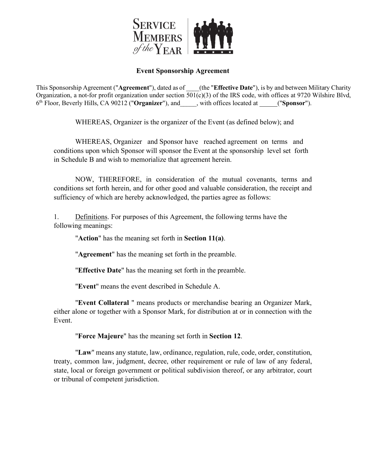

# **Event Sponsorship Agreement**

This Sponsorship Agreement ("**Agreement**"), dated as of \_\_\_\_(the "**Effective Date**"), is by and between Military Charity Organization, a not-for profit organization under section  $\overline{501(c)}(3)$  of the IRS code, with offices at 9720 Wilshire Blvd, 6th Floor, Beverly Hills, CA 90212 ("**Organizer**"), and\_\_\_\_\_, with offices located at \_\_\_\_\_("**Sponsor**").

WHEREAS, Organizer is the organizer of the Event (as defined below); and

WHEREAS, Organizer and Sponsor have reached agreement on terms and conditions upon which Sponsor will sponsor the Event at the sponsorship level set forth in Schedule B and wish to memorialize that agreement herein.

NOW, THEREFORE, in consideration of the mutual covenants, terms and conditions set forth herein, and for other good and valuable consideration, the receipt and sufficiency of which are hereby acknowledged, the parties agree as follows:

1. Definitions. For purposes of this Agreement, the following terms have the following meanings:

"**Action**" has the meaning set forth in **Section 11(a)**.

"**Agreement**" has the meaning set forth in the preamble.

"**Effective Date**" has the meaning set forth in the preamble.

"**Event**" means the event described in Schedule A.

"**Event Collateral** " means products or merchandise bearing an Organizer Mark, either alone or together with a Sponsor Mark, for distribution at or in connection with the Event.

"**Force Majeure**" has the meaning set forth in **Section 12**.

"**Law**" means any statute, law, ordinance, regulation, rule, code, order, constitution, treaty, common law, judgment, decree, other requirement or rule of law of any federal, state, local or foreign government or political subdivision thereof, or any arbitrator, court or tribunal of competent jurisdiction.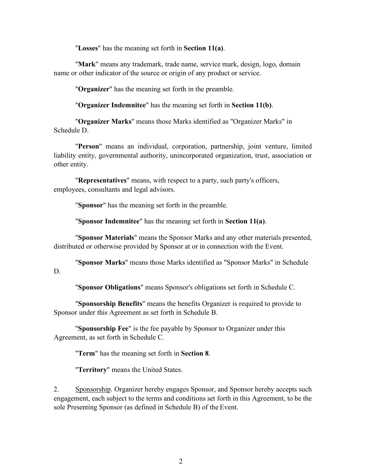"**Losses**" has the meaning set forth in **Section 11(a)**.

"**Mark**" means any trademark, trade name, service mark, design, logo, domain name or other indicator of the source or origin of any product or service.

"**Organizer**" has the meaning set forth in the preamble.

"**Organizer Indemnitee**" has the meaning set forth in **Section 11(b)**.

"**Organizer Marks**" means those Marks identified as "Organizer Marks" in Schedule D.

"**Person**" means an individual, corporation, partnership, joint venture, limited liability entity, governmental authority, unincorporated organization, trust, association or other entity.

"**Representatives**" means, with respect to a party, such party's officers, employees, consultants and legal advisors.

"**Sponsor**" has the meaning set forth in the preamble.

"**Sponsor Indemnitee**" has the meaning set forth in **Section 11(a)**.

"**Sponsor Materials**" means the Sponsor Marks and any other materials presented, distributed or otherwise provided by Sponsor at or in connection with the Event.

"**Sponsor Marks**" means those Marks identified as "Sponsor Marks" in Schedule D.

"**Sponsor Obligations**" means Sponsor's obligations set forth in Schedule C.

"**Sponsorship Benefits**" means the benefits Organizer is required to provide to Sponsor under this Agreement as set forth in Schedule B.

"**Sponsorship Fee**" is the fee payable by Sponsor to Organizer under this Agreement, as set forth in Schedule C.

"**Term**" has the meaning set forth in **Section 8**.

"**Territory**" means the United States.

2. Sponsorship. Organizer hereby engages Sponsor, and Sponsor hereby accepts such engagement, each subject to the terms and conditions set forth in this Agreement, to be the sole Presenting Sponsor (as defined in Schedule B) of the Event.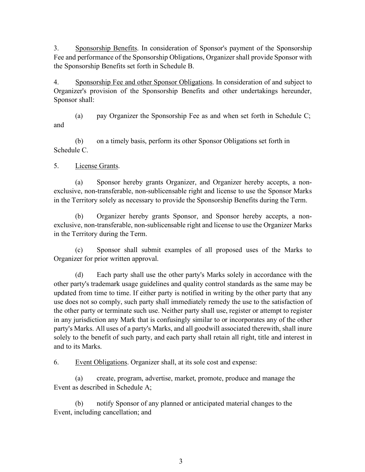3. Sponsorship Benefits. In consideration of Sponsor's payment of the Sponsorship Fee and performance of the Sponsorship Obligations, Organizer shall provide Sponsor with the Sponsorship Benefits set forth in Schedule B.

4. Sponsorship Fee and other Sponsor Obligations. In consideration of and subject to Organizer's provision of the Sponsorship Benefits and other undertakings hereunder, Sponsor shall:

(a) pay Organizer the Sponsorship Fee as and when set forth in Schedule C; and

(b) on a timely basis, perform its other Sponsor Obligations set forth in Schedule C.

5. License Grants.

(a) Sponsor hereby grants Organizer, and Organizer hereby accepts, a nonexclusive, non-transferable, non-sublicensable right and license to use the Sponsor Marks in the Territory solely as necessary to provide the Sponsorship Benefits during the Term.

(b) Organizer hereby grants Sponsor, and Sponsor hereby accepts, a nonexclusive, non-transferable, non-sublicensable right and license to use the Organizer Marks in the Territory during the Term.

(c) Sponsor shall submit examples of all proposed uses of the Marks to Organizer for prior written approval.

(d) Each party shall use the other party's Marks solely in accordance with the other party's trademark usage guidelines and quality control standards as the same may be updated from time to time. If either party is notified in writing by the other party that any use does not so comply, such party shall immediately remedy the use to the satisfaction of the other party or terminate such use. Neither party shall use, register or attempt to register in any jurisdiction any Mark that is confusingly similar to or incorporates any of the other party's Marks. All uses of a party's Marks, and all goodwill associated therewith, shall inure solely to the benefit of such party, and each party shall retain all right, title and interest in and to its Marks.

6. Event Obligations. Organizer shall, at its sole cost and expense:

(a) create, program, advertise, market, promote, produce and manage the Event as described in Schedule A;

(b) notify Sponsor of any planned or anticipated material changes to the Event, including cancellation; and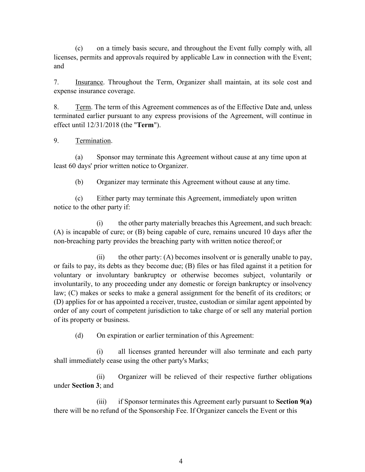(c) on a timely basis secure, and throughout the Event fully comply with, all licenses, permits and approvals required by applicable Law in connection with the Event; and

7. Insurance. Throughout the Term, Organizer shall maintain, at its sole cost and expense insurance coverage.

8. Term. The term of this Agreement commences as of the Effective Date and, unless terminated earlier pursuant to any express provisions of the Agreement, will continue in effect until 12/31/2018 (the "**Term**").

9. Termination.

(a) Sponsor may terminate this Agreement without cause at any time upon at least 60 days' prior written notice to Organizer.

(b) Organizer may terminate this Agreement without cause at any time.

(c) Either party may terminate this Agreement, immediately upon written notice to the other party if:

(i) the other party materially breaches this Agreement, and such breach: (A) is incapable of cure; or (B) being capable of cure, remains uncured 10 days after the non-breaching party provides the breaching party with written notice thereof; or

(ii) the other party:  $(A)$  becomes insolvent or is generally unable to pay, or fails to pay, its debts as they become due; (B) files or has filed against it a petition for voluntary or involuntary bankruptcy or otherwise becomes subject, voluntarily or involuntarily, to any proceeding under any domestic or foreign bankruptcy or insolvency law; (C) makes or seeks to make a general assignment for the benefit of its creditors; or (D) applies for or has appointed a receiver, trustee, custodian or similar agent appointed by order of any court of competent jurisdiction to take charge of or sell any material portion of its property or business.

(d) On expiration or earlier termination of this Agreement:

(i) all licenses granted hereunder will also terminate and each party shall immediately cease using the other party's Marks;

(ii) Organizer will be relieved of their respective further obligations under **Section 3**; and

(iii) if Sponsor terminates this Agreement early pursuant to **Section 9(a)**  there will be no refund of the Sponsorship Fee. If Organizer cancels the Event or this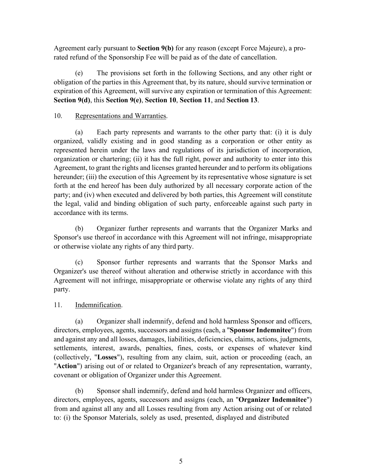Agreement early pursuant to **Section 9(b)** for any reason (except Force Majeure), a prorated refund of the Sponsorship Fee will be paid as of the date of cancellation.

(e) The provisions set forth in the following Sections, and any other right or obligation of the parties in this Agreement that, by its nature, should survive termination or expiration of this Agreement, will survive any expiration or termination of this Agreement: **Section 9(d)**, this **Section 9(e)**, **Section 10**, **Section 11**, and **Section 13**.

## 10. Representations and Warranties.

(a) Each party represents and warrants to the other party that: (i) it is duly organized, validly existing and in good standing as a corporation or other entity as represented herein under the laws and regulations of its jurisdiction of incorporation, organization or chartering; (ii) it has the full right, power and authority to enter into this Agreement, to grant the rights and licenses granted hereunder and to perform its obligations hereunder; (iii) the execution of this Agreement by its representative whose signature is set forth at the end hereof has been duly authorized by all necessary corporate action of the party; and (iv) when executed and delivered by both parties, this Agreement will constitute the legal, valid and binding obligation of such party, enforceable against such party in accordance with its terms.

(b) Organizer further represents and warrants that the Organizer Marks and Sponsor's use thereof in accordance with this Agreement will not infringe, misappropriate or otherwise violate any rights of any third party.

(c) Sponsor further represents and warrants that the Sponsor Marks and Organizer's use thereof without alteration and otherwise strictly in accordance with this Agreement will not infringe, misappropriate or otherwise violate any rights of any third party.

# 11. Indemnification.

(a) Organizer shall indemnify, defend and hold harmless Sponsor and officers, directors, employees, agents, successors and assigns (each, a "**Sponsor Indemnitee**") from and against any and all losses, damages, liabilities, deficiencies, claims, actions, judgments, settlements, interest, awards, penalties, fines, costs, or expenses of whatever kind (collectively, "**Losses**"), resulting from any claim, suit, action or proceeding (each, an "**Action**") arising out of or related to Organizer's breach of any representation, warranty, covenant or obligation of Organizer under this Agreement.

(b) Sponsor shall indemnify, defend and hold harmless Organizer and officers, directors, employees, agents, successors and assigns (each, an "**Organizer Indemnitee**") from and against all any and all Losses resulting from any Action arising out of or related to: (i) the Sponsor Materials, solely as used, presented, displayed and distributed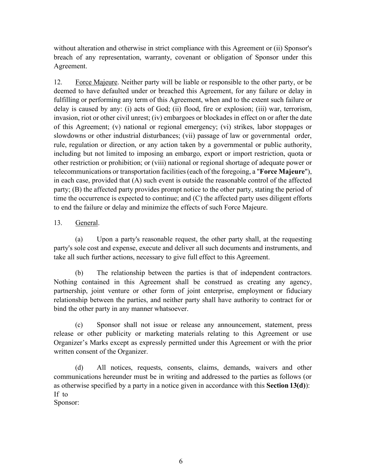without alteration and otherwise in strict compliance with this Agreement or (ii) Sponsor's breach of any representation, warranty, covenant or obligation of Sponsor under this Agreement.

12. Force Majeure. Neither party will be liable or responsible to the other party, or be deemed to have defaulted under or breached this Agreement, for any failure or delay in fulfilling or performing any term of this Agreement, when and to the extent such failure or delay is caused by any: (i) acts of God; (ii) flood, fire or explosion; (iii) war, terrorism, invasion, riot or other civil unrest; (iv) embargoes or blockades in effect on or after the date of this Agreement; (v) national or regional emergency; (vi) strikes, labor stoppages or slowdowns or other industrial disturbances; (vii) passage of law or governmental order, rule, regulation or direction, or any action taken by a governmental or public authority, including but not limited to imposing an embargo, export or import restriction, quota or other restriction or prohibition; or (viii) national or regional shortage of adequate power or telecommunications or transportation facilities (each of the foregoing, a "**Force Majeure**"), in each case, provided that (A) such event is outside the reasonable control of the affected party; (B) the affected party provides prompt notice to the other party, stating the period of time the occurrence is expected to continue; and (C) the affected party uses diligent efforts to end the failure or delay and minimize the effects of such Force Majeure.

#### 13. General.

(a) Upon a party's reasonable request, the other party shall, at the requesting party's sole cost and expense, execute and deliver all such documents and instruments, and take all such further actions, necessary to give full effect to this Agreement.

(b) The relationship between the parties is that of independent contractors. Nothing contained in this Agreement shall be construed as creating any agency, partnership, joint venture or other form of joint enterprise, employment or fiduciary relationship between the parties, and neither party shall have authority to contract for or bind the other party in any manner whatsoever.

(c) Sponsor shall not issue or release any announcement, statement, press release or other publicity or marketing materials relating to this Agreement or use Organizer's Marks except as expressly permitted under this Agreement or with the prior written consent of the Organizer.

(d) All notices, requests, consents, claims, demands, waivers and other communications hereunder must be in writing and addressed to the parties as follows (or as otherwise specified by a party in a notice given in accordance with this **Section 13(d)**): If to

Sponsor: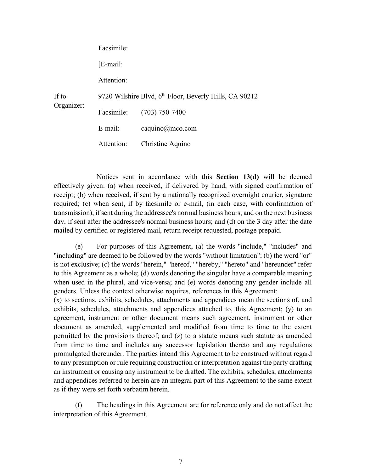| If to<br>Organizer: | Facsimile:                                                         |                  |
|---------------------|--------------------------------------------------------------------|------------------|
|                     | $[E$ -mail:                                                        |                  |
|                     | Attention:                                                         |                  |
|                     | 9720 Wilshire Blvd, 6 <sup>th</sup> Floor, Beverly Hills, CA 90212 |                  |
|                     | Facsimile:                                                         | $(703)$ 750-7400 |
|                     | E-mail:                                                            | caquino@mco.com  |
|                     | Attention:                                                         | Christine Aquino |

Notices sent in accordance with this **Section 13(d)** will be deemed effectively given: (a) when received, if delivered by hand, with signed confirmation of receipt; (b) when received, if sent by a nationally recognized overnight courier, signature required; (c) when sent, if by facsimile or e-mail, (in each case, with confirmation of transmission), if sent during the addressee's normal business hours, and on the next business day, if sent after the addressee's normal business hours; and (d) on the 3 day after the date mailed by certified or registered mail, return receipt requested, postage prepaid.

(e) For purposes of this Agreement, (a) the words "include," "includes" and "including" are deemed to be followed by the words "without limitation"; (b) the word "or" is not exclusive; (c) the words "herein," "hereof," "hereby," "hereto" and "hereunder" refer to this Agreement as a whole; (d) words denoting the singular have a comparable meaning when used in the plural, and vice-versa; and (e) words denoting any gender include all genders. Unless the context otherwise requires, references in this Agreement: (x) to sections, exhibits, schedules, attachments and appendices mean the sections of, and exhibits, schedules, attachments and appendices attached to, this Agreement; (y) to an agreement, instrument or other document means such agreement, instrument or other document as amended, supplemented and modified from time to time to the extent permitted by the provisions thereof; and (z) to a statute means such statute as amended from time to time and includes any successor legislation thereto and any regulations promulgated thereunder. The parties intend this Agreement to be construed without regard to any presumption or rule requiring construction or interpretation against the party drafting an instrument or causing any instrument to be drafted. The exhibits, schedules, attachments and appendices referred to herein are an integral part of this Agreement to the same extent as if they were set forth verbatim herein.

(f) The headings in this Agreement are for reference only and do not affect the interpretation of this Agreement.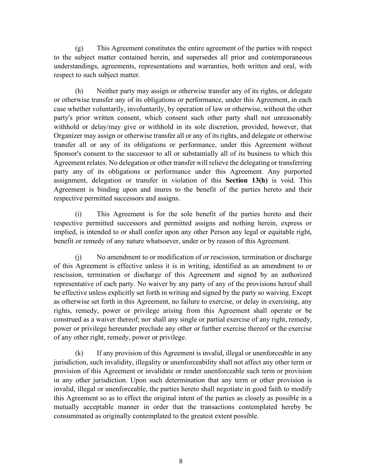(g) This Agreement constitutes the entire agreement of the parties with respect to the subject matter contained herein, and supersedes all prior and contemporaneous understandings, agreements, representations and warranties, both written and oral, with respect to such subject matter.

(h) Neither party may assign or otherwise transfer any of its rights, or delegate or otherwise transfer any of its obligations or performance, under this Agreement, in each case whether voluntarily, involuntarily, by operation of law or otherwise, without the other party's prior written consent, which consent such other party shall not unreasonably withhold or delay/may give or withhold in its sole discretion, provided, however, that Organizer may assign or otherwise transfer all or any of its rights, and delegate or otherwise transfer all or any of its obligations or performance, under this Agreement without Sponsor's consent to the successor to all or substantially all of its business to which this Agreement relates. No delegation or other transfer will relieve the delegating or transferring party any of its obligations or performance under this Agreement. Any purported assignment, delegation or transfer in violation of this **Section 13(h)** is void. This Agreement is binding upon and inures to the benefit of the parties hereto and their respective permitted successors and assigns.

(i) This Agreement is for the sole benefit of the parties hereto and their respective permitted successors and permitted assigns and nothing herein, express or implied, is intended to or shall confer upon any other Person any legal or equitable right, benefit or remedy of any nature whatsoever, under or by reason of this Agreement.

(j) No amendment to or modification of or rescission, termination or discharge of this Agreement is effective unless it is in writing, identified as an amendment to or rescission, termination or discharge of this Agreement and signed by an authorized representative of each party. No waiver by any party of any of the provisions hereof shall be effective unless explicitly set forth in writing and signed by the party so waiving. Except as otherwise set forth in this Agreement, no failure to exercise, or delay in exercising, any rights, remedy, power or privilege arising from this Agreement shall operate or be construed as a waiver thereof; nor shall any single or partial exercise of any right, remedy, power or privilege hereunder preclude any other or further exercise thereof or the exercise of any other right, remedy, power or privilege.

(k) If any provision of this Agreement is invalid, illegal or unenforceable in any jurisdiction, such invalidity, illegality or unenforceability shall not affect any other term or provision of this Agreement or invalidate or render unenforceable such term or provision in any other jurisdiction. Upon such determination that any term or other provision is invalid, illegal or unenforceable, the parties hereto shall negotiate in good faith to modify this Agreement so as to effect the original intent of the parties as closely as possible in a mutually acceptable manner in order that the transactions contemplated hereby be consummated as originally contemplated to the greatest extent possible.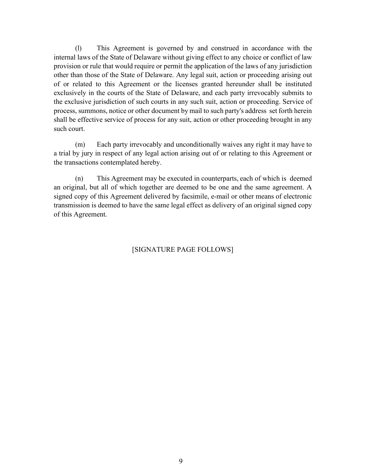(l) This Agreement is governed by and construed in accordance with the internal laws of the State of Delaware without giving effect to any choice or conflict of law provision or rule that would require or permit the application of the laws of any jurisdiction other than those of the State of Delaware. Any legal suit, action or proceeding arising out of or related to this Agreement or the licenses granted hereunder shall be instituted exclusively in the courts of the State of Delaware, and each party irrevocably submits to the exclusive jurisdiction of such courts in any such suit, action or proceeding. Service of process, summons, notice or other document by mail to such party's address set forth herein shall be effective service of process for any suit, action or other proceeding brought in any such court.

(m) Each party irrevocably and unconditionally waives any right it may have to a trial by jury in respect of any legal action arising out of or relating to this Agreement or the transactions contemplated hereby.

(n) This Agreement may be executed in counterparts, each of which is deemed an original, but all of which together are deemed to be one and the same agreement. A signed copy of this Agreement delivered by facsimile, e-mail or other means of electronic transmission is deemed to have the same legal effect as delivery of an original signed copy of this Agreement.

# [SIGNATURE PAGE FOLLOWS]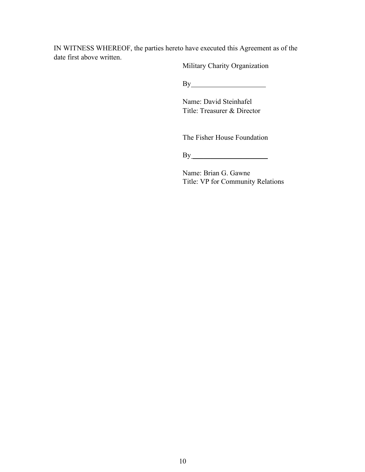IN WITNESS WHEREOF, the parties hereto have executed this Agreement as of the date first above written.

Military Charity Organization

By

Name: David Steinhafel Title: Treasurer & Director

The Fisher House Foundation

 $By$ 

Name: Brian G. Gawne Title: VP for Community Relations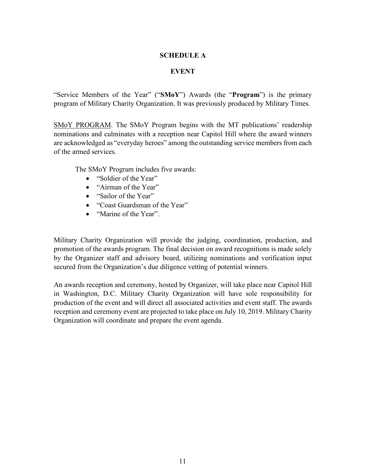#### **SCHEDULE A**

## **EVENT**

"Service Members of the Year" ("**SMoY**") Awards (the "**Program**") is the primary program of Military Charity Organization. It was previously produced by Military Times.

SMoY PROGRAM. The SMoY Program begins with the MT publications' readership nominations and culminates with a reception near Capitol Hill where the award winners are acknowledged as "everyday heroes" among the outstanding service members from each of the armed services.

The SMoY Program includes five awards:

- "Soldier of the Year"
- "Airman of the Year"
- "Sailor of the Year"
- "Coast Guardsman of the Year"
- "Marine of the Year"

Military Charity Organization will provide the judging, coordination, production, and promotion of the awards program. The final decision on award recognitions is made solely by the Organizer staff and advisory board, utilizing nominations and verification input secured from the Organization's due diligence vetting of potential winners.

An awards reception and ceremony, hosted by Organizer, will take place near Capitol Hill in Washington, D.C. Military Charity Organization will have sole responsibility for production of the event and will direct all associated activities and event staff. The awards reception and ceremony event are projected to take place on July 10, 2019. Military Charity Organization will coordinate and prepare the event agenda.